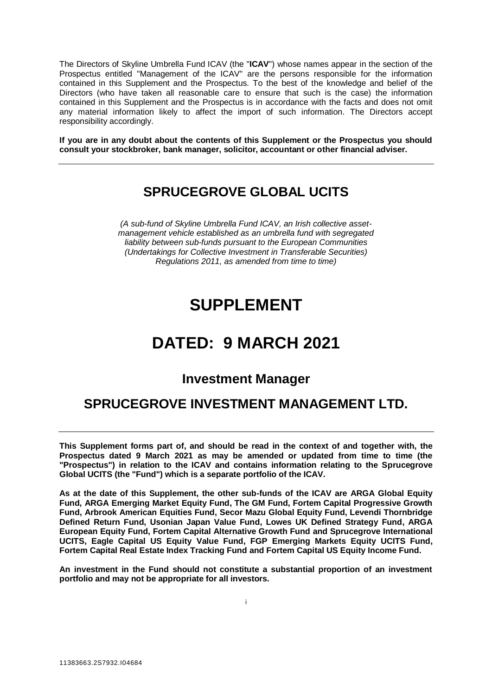The Directors of Skyline Umbrella Fund ICAV (the "**ICAV**") whose names appear in the section of the Prospectus entitled "Management of the ICAV" are the persons responsible for the information contained in this Supplement and the Prospectus. To the best of the knowledge and belief of the Directors (who have taken all reasonable care to ensure that such is the case) the information contained in this Supplement and the Prospectus is in accordance with the facts and does not omit any material information likely to affect the import of such information. The Directors accept responsibility accordingly.

**If you are in any doubt about the contents of this Supplement or the Prospectus you should consult your stockbroker, bank manager, solicitor, accountant or other financial adviser.**

# **SPRUCEGROVE GLOBAL UCITS**

*(A sub-fund of Skyline Umbrella Fund ICAV, an Irish collective assetmanagement vehicle established as an umbrella fund with segregated liability between sub-funds pursuant to the European Communities (Undertakings for Collective Investment in Transferable Securities) Regulations 2011, as amended from time to time)*

# **SUPPLEMENT**

# **DATED: 9 MARCH 2021**

# **Investment Manager**

# **SPRUCEGROVE INVESTMENT MANAGEMENT LTD.**

**This Supplement forms part of, and should be read in the context of and together with, the Prospectus dated 9 March 2021 as may be amended or updated from time to time (the "Prospectus") in relation to the ICAV and contains information relating to the Sprucegrove Global UCITS (the "Fund") which is a separate portfolio of the ICAV.** 

**As at the date of this Supplement, the other sub-funds of the ICAV are ARGA Global Equity Fund, ARGA Emerging Market Equity Fund, The GM Fund, Fortem Capital Progressive Growth Fund, Arbrook American Equities Fund, Secor Mazu Global Equity Fund, Levendi Thornbridge Defined Return Fund, Usonian Japan Value Fund, Lowes UK Defined Strategy Fund, ARGA European Equity Fund, Fortem Capital Alternative Growth Fund and Sprucegrove International UCITS, Eagle Capital US Equity Value Fund, FGP Emerging Markets Equity UCITS Fund, Fortem Capital Real Estate Index Tracking Fund and Fortem Capital US Equity Income Fund.** 

**An investment in the Fund should not constitute a substantial proportion of an investment portfolio and may not be appropriate for all investors.**

i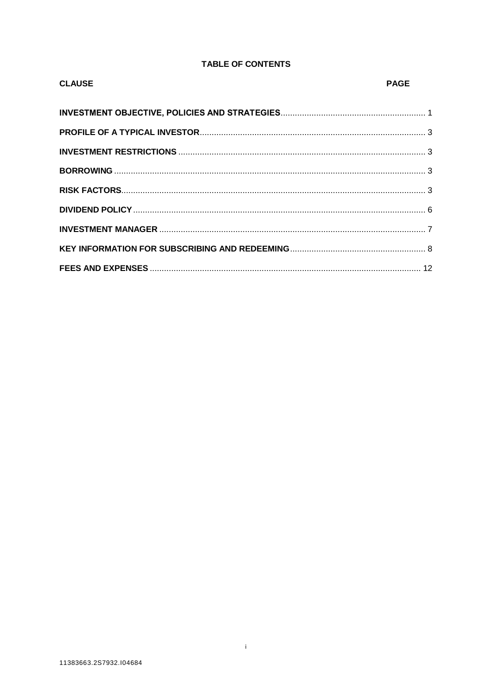# **TABLE OF CONTENTS**

| <b>CLAUSE</b> | <b>PAGE</b> |
|---------------|-------------|
|               |             |
|               |             |
|               |             |
|               |             |
|               |             |
|               |             |
|               |             |
|               |             |
|               |             |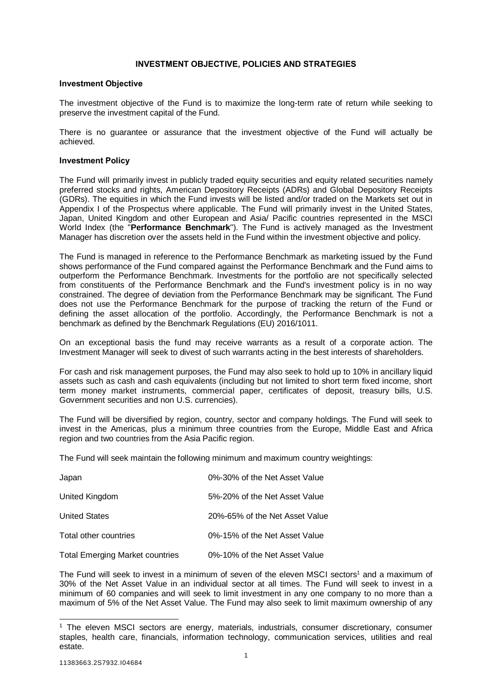# **INVESTMENT OBJECTIVE, POLICIES AND STRATEGIES**

#### <span id="page-2-0"></span>**Investment Objective**

The investment objective of the Fund is to maximize the long-term rate of return while seeking to preserve the investment capital of the Fund.

There is no guarantee or assurance that the investment objective of the Fund will actually be achieved.

#### **Investment Policy**

The Fund will primarily invest in publicly traded equity securities and equity related securities namely preferred stocks and rights, American Depository Receipts (ADRs) and Global Depository Receipts (GDRs). The equities in which the Fund invests will be listed and/or traded on the Markets set out in Appendix I of the Prospectus where applicable. The Fund will primarily invest in the United States, Japan, United Kingdom and other European and Asia/ Pacific countries represented in the MSCI World Index (the "**Performance Benchmark**"). The Fund is actively managed as the Investment Manager has discretion over the assets held in the Fund within the investment objective and policy.

The Fund is managed in reference to the Performance Benchmark as marketing issued by the Fund shows performance of the Fund compared against the Performance Benchmark and the Fund aims to outperform the Performance Benchmark. Investments for the portfolio are not specifically selected from constituents of the Performance Benchmark and the Fund's investment policy is in no way constrained. The degree of deviation from the Performance Benchmark may be significant. The Fund does not use the Performance Benchmark for the purpose of tracking the return of the Fund or defining the asset allocation of the portfolio. Accordingly, the Performance Benchmark is not a benchmark as defined by the Benchmark Regulations (EU) 2016/1011.

On an exceptional basis the fund may receive warrants as a result of a corporate action. The Investment Manager will seek to divest of such warrants acting in the best interests of shareholders.

For cash and risk management purposes, the Fund may also seek to hold up to 10% in ancillary liquid assets such as cash and cash equivalents (including but not limited to short term fixed income, short term money market instruments, commercial paper, certificates of deposit, treasury bills, U.S. Government securities and non U.S. currencies).

The Fund will be diversified by region, country, sector and company holdings. The Fund will seek to invest in the Americas, plus a minimum three countries from the Europe, Middle East and Africa region and two countries from the Asia Pacific region.

The Fund will seek maintain the following minimum and maximum country weightings:

| Japan                                  | 0%-30% of the Net Asset Value  |
|----------------------------------------|--------------------------------|
| United Kingdom                         | 5%-20% of the Net Asset Value  |
| <b>United States</b>                   | 20%-65% of the Net Asset Value |
| Total other countries                  | 0%-15% of the Net Asset Value  |
| <b>Total Emerging Market countries</b> | 0%-10% of the Net Asset Value  |

The Fund will seek to invest in a minimum of seven of the eleven MSCI sectors<sup>1</sup> and a maximum of 30% of the Net Asset Value in an individual sector at all times. The Fund will seek to invest in a minimum of 60 companies and will seek to limit investment in any one company to no more than a maximum of 5% of the Net Asset Value. The Fund may also seek to limit maximum ownership of any

l

<sup>&</sup>lt;sup>1</sup> The eleven MSCI sectors are energy, materials, industrials, consumer discretionary, consumer staples, health care, financials, information technology, communication services, utilities and real estate.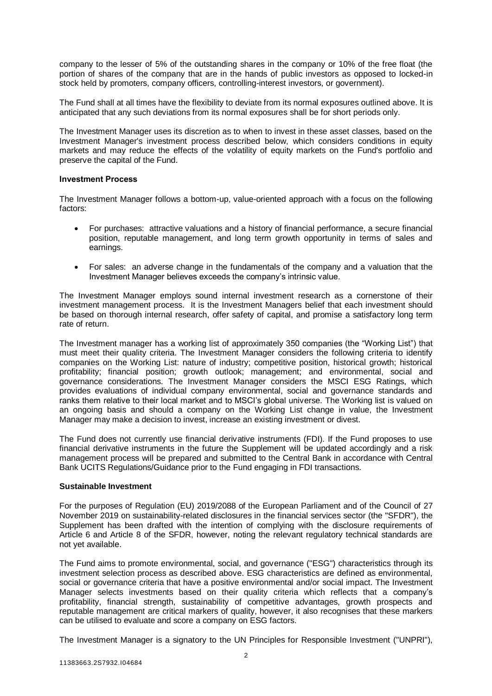company to the lesser of 5% of the outstanding shares in the company or 10% of the free float (the portion of shares of the company that are in the hands of public investors as opposed to locked-in stock held by promoters, company officers, controlling-interest investors, or government).

The Fund shall at all times have the flexibility to deviate from its normal exposures outlined above. It is anticipated that any such deviations from its normal exposures shall be for short periods only.

The Investment Manager uses its discretion as to when to invest in these asset classes, based on the Investment Manager's investment process described below, which considers conditions in equity markets and may reduce the effects of the volatility of equity markets on the Fund's portfolio and preserve the capital of the Fund.

# **Investment Process**

The Investment Manager follows a bottom-up, value-oriented approach with a focus on the following factors:

- For purchases: attractive valuations and a history of financial performance, a secure financial position, reputable management, and long term growth opportunity in terms of sales and earnings.
- For sales: an adverse change in the fundamentals of the company and a valuation that the Investment Manager believes exceeds the company's intrinsic value.

The Investment Manager employs sound internal investment research as a cornerstone of their investment management process. It is the Investment Managers belief that each investment should be based on thorough internal research, offer safety of capital, and promise a satisfactory long term rate of return.

The Investment manager has a working list of approximately 350 companies (the "Working List") that must meet their quality criteria. The Investment Manager considers the following criteria to identify companies on the Working List: nature of industry; competitive position, historical growth; historical profitability; financial position; growth outlook; management; and environmental, social and governance considerations. The Investment Manager considers the MSCI ESG Ratings, which provides evaluations of individual company environmental, social and governance standards and ranks them relative to their local market and to MSCI's global universe. The Working list is valued on an ongoing basis and should a company on the Working List change in value, the Investment Manager may make a decision to invest, increase an existing investment or divest.

The Fund does not currently use financial derivative instruments (FDI). If the Fund proposes to use financial derivative instruments in the future the Supplement will be updated accordingly and a risk management process will be prepared and submitted to the Central Bank in accordance with Central Bank UCITS Regulations/Guidance prior to the Fund engaging in FDI transactions.

#### **Sustainable Investment**

For the purposes of Regulation (EU) 2019/2088 of the European Parliament and of the Council of 27 November 2019 on sustainability-related disclosures in the financial services sector (the "SFDR"), the Supplement has been drafted with the intention of complying with the disclosure requirements of Article 6 and Article 8 of the SFDR, however, noting the relevant regulatory technical standards are not yet available.

The Fund aims to promote environmental, social, and governance ("ESG") characteristics through its investment selection process as described above. ESG characteristics are defined as environmental, social or governance criteria that have a positive environmental and/or social impact. The Investment Manager selects investments based on their quality criteria which reflects that a company's profitability, financial strength, sustainability of competitive advantages, growth prospects and reputable management are critical markers of quality, however, it also recognises that these markers can be utilised to evaluate and score a company on ESG factors.

The Investment Manager is a signatory to the UN Principles for Responsible Investment ("UNPRI"),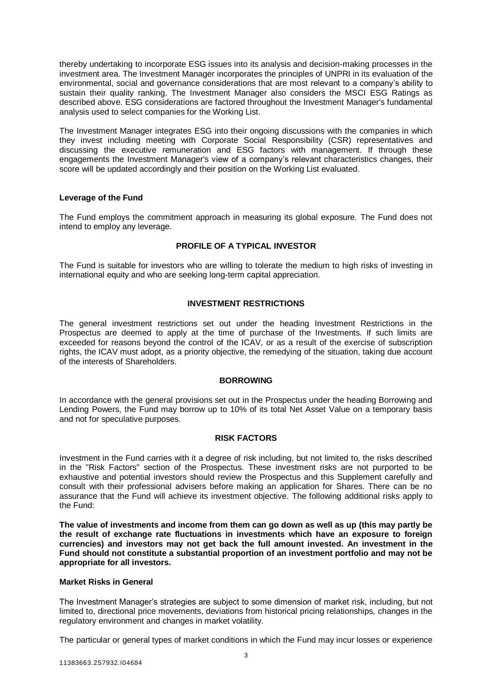thereby undertaking to incorporate ESG issues into its analysis and decision-making processes in the investment area. The Investment Manager incorporates the principles of UNPRI in its evaluation of the environmental, social and governance considerations that are most relevant to a company's ability to sustain their quality ranking. The Investment Manager also considers the MSCI ESG Ratings as described above. ESG considerations are factored throughout the Investment Manager's fundamental analysis used to select companies for the Working List.

The Investment Manager integrates ESG into their ongoing discussions with the companies in which they invest including meeting with Corporate Social Responsibility (CSR) representatives and discussing the executive remuneration and ESG factors with management. If through these engagements the Investment Manager's view of a company's relevant characteristics changes, their score will be updated accordingly and their position on the Working List evaluated.

# **Leverage of the Fund**

The Fund employs the commitment approach in measuring its global exposure. The Fund does not intend to employ any leverage.

# **PROFILE OF A TYPICAL INVESTOR**

<span id="page-4-0"></span>The Fund is suitable for investors who are willing to tolerate the medium to high risks of investing in international equity and who are seeking long-term capital appreciation.

# **INVESTMENT RESTRICTIONS**

<span id="page-4-1"></span>The general investment restrictions set out under the heading Investment Restrictions in the Prospectus are deemed to apply at the time of purchase of the Investments. If such limits are exceeded for reasons beyond the control of the ICAV, or as a result of the exercise of subscription rights, the ICAV must adopt, as a priority objective, the remedying of the situation, taking due account of the interests of Shareholders.

#### **BORROWING**

<span id="page-4-2"></span>In accordance with the general provisions set out in the Prospectus under the heading Borrowing and Lending Powers, the Fund may borrow up to 10% of its total Net Asset Value on a temporary basis and not for speculative purposes.

#### **RISK FACTORS**

<span id="page-4-3"></span>Investment in the Fund carries with it a degree of risk including, but not limited to, the risks described in the "Risk Factors" section of the Prospectus. These investment risks are not purported to be exhaustive and potential investors should review the Prospectus and this Supplement carefully and consult with their professional advisers before making an application for Shares. There can be no assurance that the Fund will achieve its investment objective. The following additional risks apply to the Fund:

**The value of investments and income from them can go down as well as up (this may partly be the result of exchange rate fluctuations in investments which have an exposure to foreign currencies) and investors may not get back the full amount invested. An investment in the Fund should not constitute a substantial proportion of an investment portfolio and may not be appropriate for all investors.** 

#### **Market Risks in General**

The Investment Manager's strategies are subject to some dimension of market risk, including, but not limited to, directional price movements, deviations from historical pricing relationships, changes in the regulatory environment and changes in market volatility.

The particular or general types of market conditions in which the Fund may incur losses or experience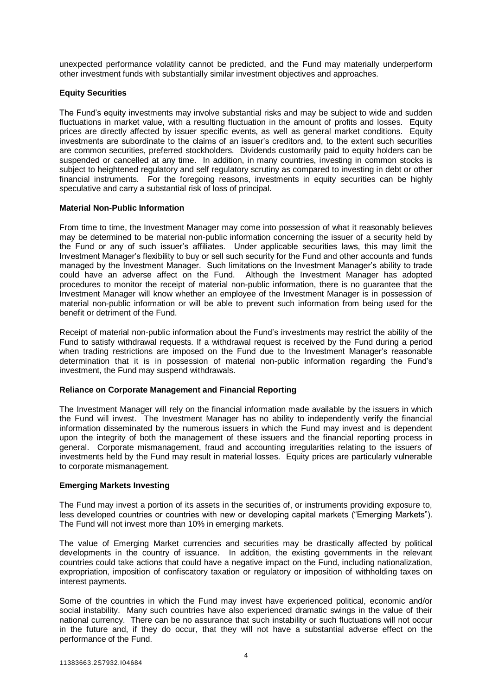unexpected performance volatility cannot be predicted, and the Fund may materially underperform other investment funds with substantially similar investment objectives and approaches.

# **Equity Securities**

The Fund's equity investments may involve substantial risks and may be subject to wide and sudden fluctuations in market value, with a resulting fluctuation in the amount of profits and losses. Equity prices are directly affected by issuer specific events, as well as general market conditions. Equity investments are subordinate to the claims of an issuer's creditors and, to the extent such securities are common securities, preferred stockholders. Dividends customarily paid to equity holders can be suspended or cancelled at any time. In addition, in many countries, investing in common stocks is subject to heightened regulatory and self regulatory scrutiny as compared to investing in debt or other financial instruments. For the foregoing reasons, investments in equity securities can be highly speculative and carry a substantial risk of loss of principal.

#### **Material Non-Public Information**

From time to time, the Investment Manager may come into possession of what it reasonably believes may be determined to be material non-public information concerning the issuer of a security held by the Fund or any of such issuer's affiliates. Under applicable securities laws, this may limit the Investment Manager's flexibility to buy or sell such security for the Fund and other accounts and funds managed by the Investment Manager. Such limitations on the Investment Manager's ability to trade could have an adverse affect on the Fund. Although the Investment Manager has adopted procedures to monitor the receipt of material non-public information, there is no guarantee that the Investment Manager will know whether an employee of the Investment Manager is in possession of material non-public information or will be able to prevent such information from being used for the benefit or detriment of the Fund.

Receipt of material non-public information about the Fund's investments may restrict the ability of the Fund to satisfy withdrawal requests. If a withdrawal request is received by the Fund during a period when trading restrictions are imposed on the Fund due to the Investment Manager's reasonable determination that it is in possession of material non-public information regarding the Fund's investment, the Fund may suspend withdrawals.

#### **Reliance on Corporate Management and Financial Reporting**

The Investment Manager will rely on the financial information made available by the issuers in which the Fund will invest. The Investment Manager has no ability to independently verify the financial information disseminated by the numerous issuers in which the Fund may invest and is dependent upon the integrity of both the management of these issuers and the financial reporting process in general. Corporate mismanagement, fraud and accounting irregularities relating to the issuers of investments held by the Fund may result in material losses. Equity prices are particularly vulnerable to corporate mismanagement.

#### **Emerging Markets Investing**

The Fund may invest a portion of its assets in the securities of, or instruments providing exposure to, less developed countries or countries with new or developing capital markets ("Emerging Markets"). The Fund will not invest more than 10% in emerging markets.

The value of Emerging Market currencies and securities may be drastically affected by political developments in the country of issuance. In addition, the existing governments in the relevant countries could take actions that could have a negative impact on the Fund, including nationalization, expropriation, imposition of confiscatory taxation or regulatory or imposition of withholding taxes on interest payments.

Some of the countries in which the Fund may invest have experienced political, economic and/or social instability. Many such countries have also experienced dramatic swings in the value of their national currency. There can be no assurance that such instability or such fluctuations will not occur in the future and, if they do occur, that they will not have a substantial adverse effect on the performance of the Fund.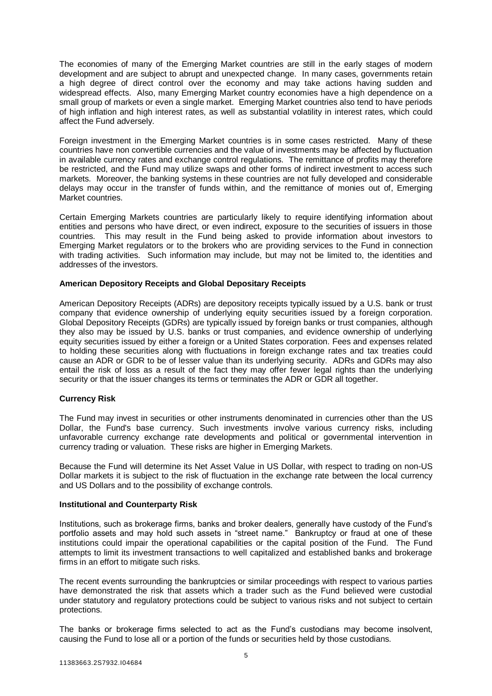The economies of many of the Emerging Market countries are still in the early stages of modern development and are subject to abrupt and unexpected change. In many cases, governments retain a high degree of direct control over the economy and may take actions having sudden and widespread effects. Also, many Emerging Market country economies have a high dependence on a small group of markets or even a single market. Emerging Market countries also tend to have periods of high inflation and high interest rates, as well as substantial volatility in interest rates, which could affect the Fund adversely.

Foreign investment in the Emerging Market countries is in some cases restricted. Many of these countries have non convertible currencies and the value of investments may be affected by fluctuation in available currency rates and exchange control regulations. The remittance of profits may therefore be restricted, and the Fund may utilize swaps and other forms of indirect investment to access such markets. Moreover, the banking systems in these countries are not fully developed and considerable delays may occur in the transfer of funds within, and the remittance of monies out of, Emerging Market countries.

Certain Emerging Markets countries are particularly likely to require identifying information about entities and persons who have direct, or even indirect, exposure to the securities of issuers in those countries. This may result in the Fund being asked to provide information about investors to Emerging Market regulators or to the brokers who are providing services to the Fund in connection with trading activities. Such information may include, but may not be limited to, the identities and addresses of the investors.

#### **American Depository Receipts and Global Depositary Receipts**

American Depository Receipts (ADRs) are depository receipts typically issued by a U.S. bank or trust company that evidence ownership of underlying equity securities issued by a foreign corporation. Global Depository Receipts (GDRs) are typically issued by foreign banks or trust companies, although they also may be issued by U.S. banks or trust companies, and evidence ownership of underlying equity securities issued by either a foreign or a United States corporation. Fees and expenses related to holding these securities along with fluctuations in foreign exchange rates and tax treaties could cause an ADR or GDR to be of lesser value than its underlying security. ADRs and GDRs may also entail the risk of loss as a result of the fact they may offer fewer legal rights than the underlying security or that the issuer changes its terms or terminates the ADR or GDR all together.

# **Currency Risk**

The Fund may invest in securities or other instruments denominated in currencies other than the US Dollar, the Fund's base currency. Such investments involve various currency risks, including unfavorable currency exchange rate developments and political or governmental intervention in currency trading or valuation. These risks are higher in Emerging Markets.

Because the Fund will determine its Net Asset Value in US Dollar, with respect to trading on non-US Dollar markets it is subject to the risk of fluctuation in the exchange rate between the local currency and US Dollars and to the possibility of exchange controls.

#### **Institutional and Counterparty Risk**

Institutions, such as brokerage firms, banks and broker dealers, generally have custody of the Fund's portfolio assets and may hold such assets in "street name." Bankruptcy or fraud at one of these institutions could impair the operational capabilities or the capital position of the Fund. The Fund attempts to limit its investment transactions to well capitalized and established banks and brokerage firms in an effort to mitigate such risks.

The recent events surrounding the bankruptcies or similar proceedings with respect to various parties have demonstrated the risk that assets which a trader such as the Fund believed were custodial under statutory and regulatory protections could be subject to various risks and not subject to certain protections.

The banks or brokerage firms selected to act as the Fund's custodians may become insolvent, causing the Fund to lose all or a portion of the funds or securities held by those custodians.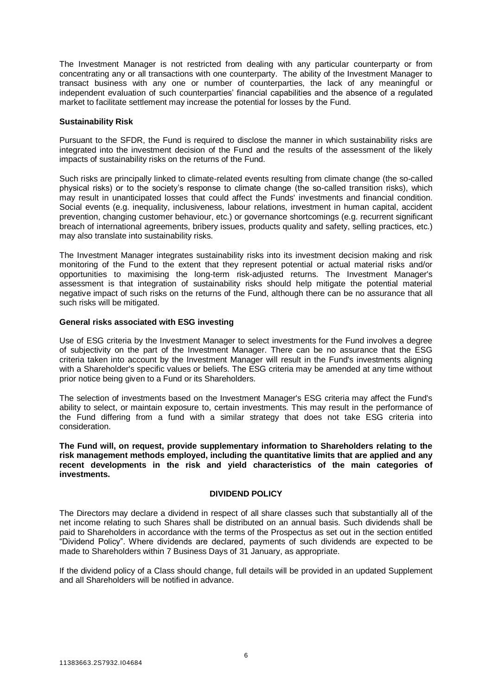The Investment Manager is not restricted from dealing with any particular counterparty or from concentrating any or all transactions with one counterparty. The ability of the Investment Manager to transact business with any one or number of counterparties, the lack of any meaningful or independent evaluation of such counterparties' financial capabilities and the absence of a regulated market to facilitate settlement may increase the potential for losses by the Fund.

#### **Sustainability Risk**

Pursuant to the SFDR, the Fund is required to disclose the manner in which sustainability risks are integrated into the investment decision of the Fund and the results of the assessment of the likely impacts of sustainability risks on the returns of the Fund.

Such risks are principally linked to climate-related events resulting from climate change (the so-called physical risks) or to the society's response to climate change (the so-called transition risks), which may result in unanticipated losses that could affect the Funds' investments and financial condition. Social events (e.g. inequality, inclusiveness, labour relations, investment in human capital, accident prevention, changing customer behaviour, etc.) or governance shortcomings (e.g. recurrent significant breach of international agreements, bribery issues, products quality and safety, selling practices, etc.) may also translate into sustainability risks.

The Investment Manager integrates sustainability risks into its investment decision making and risk monitoring of the Fund to the extent that they represent potential or actual material risks and/or opportunities to maximising the long-term risk-adjusted returns. The Investment Manager's assessment is that integration of sustainability risks should help mitigate the potential material negative impact of such risks on the returns of the Fund, although there can be no assurance that all such risks will be mitigated.

#### **General risks associated with ESG investing**

Use of ESG criteria by the Investment Manager to select investments for the Fund involves a degree of subjectivity on the part of the Investment Manager. There can be no assurance that the ESG criteria taken into account by the Investment Manager will result in the Fund's investments aligning with a Shareholder's specific values or beliefs. The ESG criteria may be amended at any time without prior notice being given to a Fund or its Shareholders.

The selection of investments based on the Investment Manager's ESG criteria may affect the Fund's ability to select, or maintain exposure to, certain investments. This may result in the performance of the Fund differing from a fund with a similar strategy that does not take ESG criteria into consideration.

**The Fund will, on request, provide supplementary information to Shareholders relating to the risk management methods employed, including the quantitative limits that are applied and any recent developments in the risk and yield characteristics of the main categories of investments.**

#### **DIVIDEND POLICY**

<span id="page-7-0"></span>The Directors may declare a dividend in respect of all share classes such that substantially all of the net income relating to such Shares shall be distributed on an annual basis. Such dividends shall be paid to Shareholders in accordance with the terms of the Prospectus as set out in the section entitled "Dividend Policy". Where dividends are declared, payments of such dividends are expected to be made to Shareholders within 7 Business Days of 31 January, as appropriate.

If the dividend policy of a Class should change, full details will be provided in an updated Supplement and all Shareholders will be notified in advance.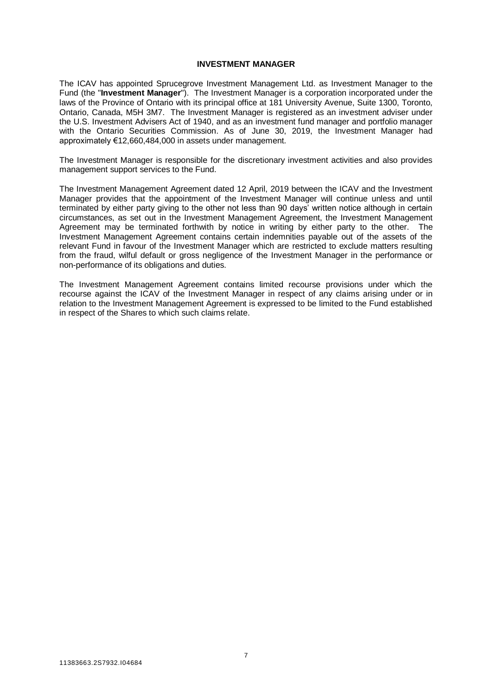# **INVESTMENT MANAGER**

<span id="page-8-0"></span>The ICAV has appointed Sprucegrove Investment Management Ltd. as Investment Manager to the Fund (the "**Investment Manager**"). The Investment Manager is a corporation incorporated under the laws of the Province of Ontario with its principal office at 181 University Avenue, Suite 1300, Toronto, Ontario, Canada, M5H 3M7. The Investment Manager is registered as an investment adviser under the U.S. Investment Advisers Act of 1940, and as an investment fund manager and portfolio manager with the Ontario Securities Commission. As of June 30, 2019, the Investment Manager had approximately €12,660,484,000 in assets under management.

The Investment Manager is responsible for the discretionary investment activities and also provides management support services to the Fund.

The Investment Management Agreement dated 12 April, 2019 between the ICAV and the Investment Manager provides that the appointment of the Investment Manager will continue unless and until terminated by either party giving to the other not less than 90 days' written notice although in certain circumstances, as set out in the Investment Management Agreement, the Investment Management Agreement may be terminated forthwith by notice in writing by either party to the other. The Investment Management Agreement contains certain indemnities payable out of the assets of the relevant Fund in favour of the Investment Manager which are restricted to exclude matters resulting from the fraud, wilful default or gross negligence of the Investment Manager in the performance or non-performance of its obligations and duties.

The Investment Management Agreement contains limited recourse provisions under which the recourse against the ICAV of the Investment Manager in respect of any claims arising under or in relation to the Investment Management Agreement is expressed to be limited to the Fund established in respect of the Shares to which such claims relate.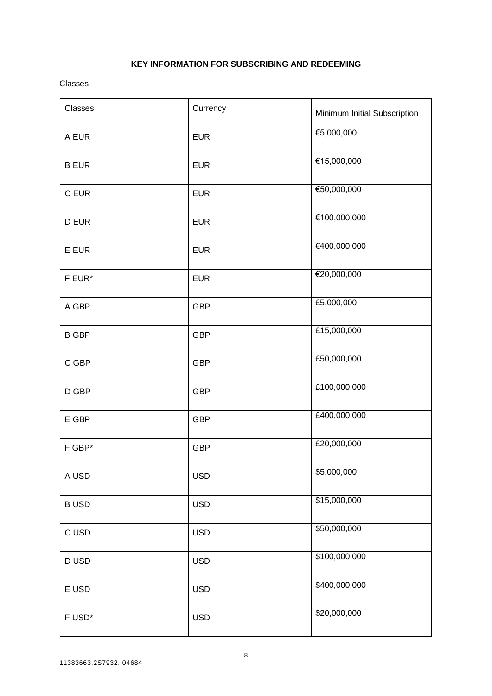# **KEY INFORMATION FOR SUBSCRIBING AND REDEEMING**

<span id="page-9-0"></span>Classes

| Classes      | Currency   | Minimum Initial Subscription |
|--------------|------------|------------------------------|
| A EUR        | <b>EUR</b> | €5,000,000                   |
| <b>B EUR</b> | <b>EUR</b> | €15,000,000                  |
| C EUR        | <b>EUR</b> | €50,000,000                  |
| D EUR        | <b>EUR</b> | €100,000,000                 |
| E EUR        | <b>EUR</b> | €400,000,000                 |
| F EUR*       | <b>EUR</b> | €20,000,000                  |
| A GBP        | <b>GBP</b> | £5,000,000                   |
| <b>B GBP</b> | <b>GBP</b> | £15,000,000                  |
| C GBP        | <b>GBP</b> | £50,000,000                  |
| D GBP        | <b>GBP</b> | £100,000,000                 |
| $E$ GBP      | <b>GBP</b> | £400,000,000                 |
| F GBP*       | <b>GBP</b> | £20,000,000                  |
| A USD        | <b>USD</b> | \$5,000,000                  |
| <b>BUSD</b>  | <b>USD</b> | \$15,000,000                 |
| C USD        | <b>USD</b> | \$50,000,000                 |
| <b>DUSD</b>  | <b>USD</b> | \$100,000,000                |
| E USD        | <b>USD</b> | \$400,000,000                |
| F USD*       | <b>USD</b> | \$20,000,000                 |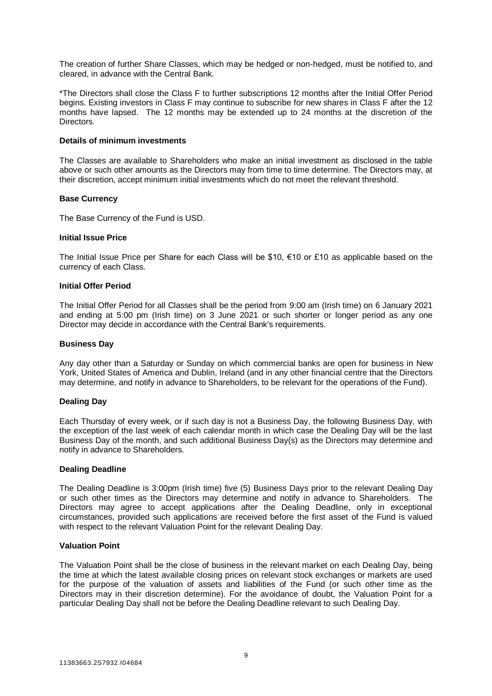The creation of further Share Classes, which may be hedged or non-hedged, must be notified to, and cleared, in advance with the Central Bank.

\*The Directors shall close the Class F to further subscriptions 12 months after the Initial Offer Period begins. Existing investors in Class F may continue to subscribe for new shares in Class F after the 12 months have lapsed. The 12 months may be extended up to 24 months at the discretion of the **Directors** 

#### **Details of minimum investments**

The Classes are available to Shareholders who make an initial investment as disclosed in the table above or such other amounts as the Directors may from time to time determine. The Directors may, at their discretion, accept minimum initial investments which do not meet the relevant threshold.

#### **Base Currency**

The Base Currency of the Fund is USD.

#### **Initial Issue Price**

The Initial Issue Price per Share for each Class will be \$10,  $\epsilon$ 10 or £10 as applicable based on the currency of each Class.

#### **Initial Offer Period**

The Initial Offer Period for all Classes shall be the period from 9:00 am (Irish time) on 6 January 2021 and ending at 5:00 pm (Irish time) on 3 June 2021 or such shorter or longer period as any one Director may decide in accordance with the Central Bank's requirements.

#### **Business Day**

Any day other than a Saturday or Sunday on which commercial banks are open for business in New York, United States of America and Dublin, Ireland (and in any other financial centre that the Directors may determine, and notify in advance to Shareholders, to be relevant for the operations of the Fund).

#### **Dealing Day**

Each Thursday of every week, or if such day is not a Business Day, the following Business Day, with the exception of the last week of each calendar month in which case the Dealing Day will be the last Business Day of the month, and such additional Business Day(s) as the Directors may determine and notify in advance to Shareholders.

#### **Dealing Deadline**

The Dealing Deadline is 3:00pm (Irish time) five (5) Business Days prior to the relevant Dealing Day or such other times as the Directors may determine and notify in advance to Shareholders. The Directors may agree to accept applications after the Dealing Deadline, only in exceptional circumstances, provided such applications are received before the first asset of the Fund is valued with respect to the relevant Valuation Point for the relevant Dealing Day.

#### **Valuation Point**

The Valuation Point shall be the close of business in the relevant market on each Dealing Day, being the time at which the latest available closing prices on relevant stock exchanges or markets are used for the purpose of the valuation of assets and liabilities of the Fund (or such other time as the Directors may in their discretion determine). For the avoidance of doubt, the Valuation Point for a particular Dealing Day shall not be before the Dealing Deadline relevant to such Dealing Day.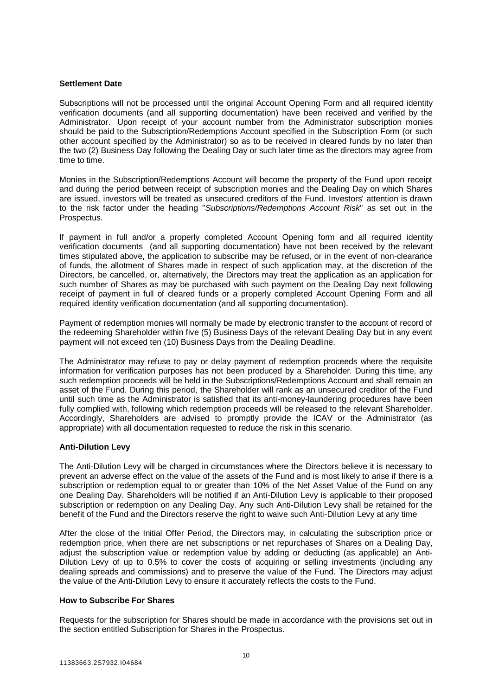# **Settlement Date**

Subscriptions will not be processed until the original Account Opening Form and all required identity verification documents (and all supporting documentation) have been received and verified by the Administrator. Upon receipt of your account number from the Administrator subscription monies should be paid to the Subscription/Redemptions Account specified in the Subscription Form (or such other account specified by the Administrator) so as to be received in cleared funds by no later than the two (2) Business Day following the Dealing Day or such later time as the directors may agree from time to time.

Monies in the Subscription/Redemptions Account will become the property of the Fund upon receipt and during the period between receipt of subscription monies and the Dealing Day on which Shares are issued, investors will be treated as unsecured creditors of the Fund. Investors' attention is drawn to the risk factor under the heading "*Subscriptions/Redemptions Account Risk*" as set out in the Prospectus.

If payment in full and/or a properly completed Account Opening form and all required identity verification documents (and all supporting documentation) have not been received by the relevant times stipulated above, the application to subscribe may be refused, or in the event of non-clearance of funds, the allotment of Shares made in respect of such application may, at the discretion of the Directors, be cancelled, or, alternatively, the Directors may treat the application as an application for such number of Shares as may be purchased with such payment on the Dealing Day next following receipt of payment in full of cleared funds or a properly completed Account Opening Form and all required identity verification documentation (and all supporting documentation).

Payment of redemption monies will normally be made by electronic transfer to the account of record of the redeeming Shareholder within five (5) Business Days of the relevant Dealing Day but in any event payment will not exceed ten (10) Business Days from the Dealing Deadline.

The Administrator may refuse to pay or delay payment of redemption proceeds where the requisite information for verification purposes has not been produced by a Shareholder. During this time, any such redemption proceeds will be held in the Subscriptions/Redemptions Account and shall remain an asset of the Fund. During this period, the Shareholder will rank as an unsecured creditor of the Fund until such time as the Administrator is satisfied that its anti-money-laundering procedures have been fully complied with, following which redemption proceeds will be released to the relevant Shareholder. Accordingly, Shareholders are advised to promptly provide the ICAV or the Administrator (as appropriate) with all documentation requested to reduce the risk in this scenario.

# **Anti-Dilution Levy**

The Anti-Dilution Levy will be charged in circumstances where the Directors believe it is necessary to prevent an adverse effect on the value of the assets of the Fund and is most likely to arise if there is a subscription or redemption equal to or greater than 10% of the Net Asset Value of the Fund on any one Dealing Day. Shareholders will be notified if an Anti-Dilution Levy is applicable to their proposed subscription or redemption on any Dealing Day. Any such Anti-Dilution Levy shall be retained for the benefit of the Fund and the Directors reserve the right to waive such Anti-Dilution Levy at any time

After the close of the Initial Offer Period, the Directors may, in calculating the subscription price or redemption price, when there are net subscriptions or net repurchases of Shares on a Dealing Day, adjust the subscription value or redemption value by adding or deducting (as applicable) an Anti-Dilution Levy of up to 0.5% to cover the costs of acquiring or selling investments (including any dealing spreads and commissions) and to preserve the value of the Fund. The Directors may adjust the value of the Anti-Dilution Levy to ensure it accurately reflects the costs to the Fund.

# **How to Subscribe For Shares**

Requests for the subscription for Shares should be made in accordance with the provisions set out in the section entitled Subscription for Shares in the Prospectus.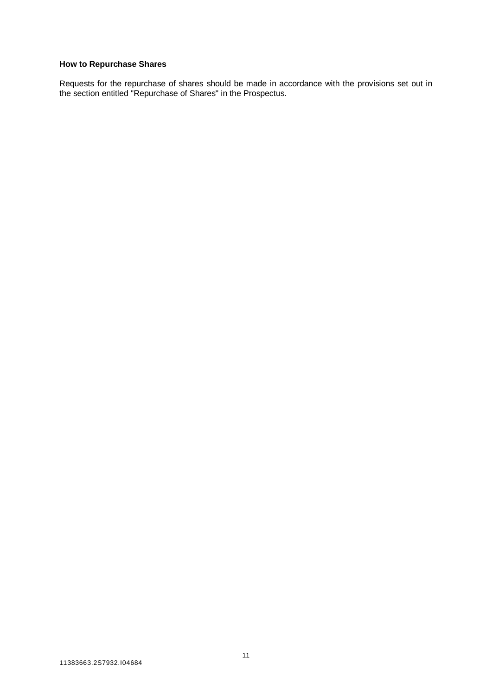# **How to Repurchase Shares**

Requests for the repurchase of shares should be made in accordance with the provisions set out in the section entitled "Repurchase of Shares" in the Prospectus.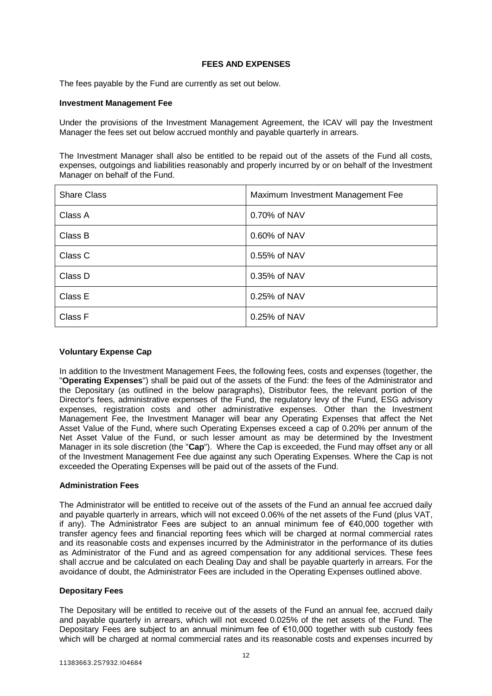# **FEES AND EXPENSES**

<span id="page-13-0"></span>The fees payable by the Fund are currently as set out below.

#### **Investment Management Fee**

Under the provisions of the Investment Management Agreement, the ICAV will pay the Investment Manager the fees set out below accrued monthly and payable quarterly in arrears.

The Investment Manager shall also be entitled to be repaid out of the assets of the Fund all costs, expenses, outgoings and liabilities reasonably and properly incurred by or on behalf of the Investment Manager on behalf of the Fund.

| <b>Share Class</b> | Maximum Investment Management Fee |
|--------------------|-----------------------------------|
| Class A            | 0.70% of NAV                      |
| Class B            | 0.60% of NAV                      |
| Class C            | 0.55% of NAV                      |
| Class D            | 0.35% of NAV                      |
| Class E            | 0.25% of NAV                      |
| Class F            | 0.25% of NAV                      |

# **Voluntary Expense Cap**

In addition to the Investment Management Fees, the following fees, costs and expenses (together, the "**Operating Expenses**") shall be paid out of the assets of the Fund: the fees of the Administrator and the Depositary (as outlined in the below paragraphs), Distributor fees, the relevant portion of the Director's fees, administrative expenses of the Fund, the regulatory levy of the Fund, ESG advisory expenses, registration costs and other administrative expenses. Other than the Investment Management Fee, the Investment Manager will bear any Operating Expenses that affect the Net Asset Value of the Fund, where such Operating Expenses exceed a cap of 0.20% per annum of the Net Asset Value of the Fund, or such lesser amount as may be determined by the Investment Manager in its sole discretion (the "**Cap**"). Where the Cap is exceeded, the Fund may offset any or all of the Investment Management Fee due against any such Operating Expenses. Where the Cap is not exceeded the Operating Expenses will be paid out of the assets of the Fund.

# **Administration Fees**

The Administrator will be entitled to receive out of the assets of the Fund an annual fee accrued daily and payable quarterly in arrears, which will not exceed 0.06% of the net assets of the Fund (plus VAT, if any). The Administrator Fees are subject to an annual minimum fee of €40,000 together with transfer agency fees and financial reporting fees which will be charged at normal commercial rates and its reasonable costs and expenses incurred by the Administrator in the performance of its duties as Administrator of the Fund and as agreed compensation for any additional services. These fees shall accrue and be calculated on each Dealing Day and shall be payable quarterly in arrears. For the avoidance of doubt, the Administrator Fees are included in the Operating Expenses outlined above.

#### **Depositary Fees**

The Depositary will be entitled to receive out of the assets of the Fund an annual fee, accrued daily and payable quarterly in arrears, which will not exceed 0.025% of the net assets of the Fund. The Depositary Fees are subject to an annual minimum fee of €10,000 together with sub custody fees which will be charged at normal commercial rates and its reasonable costs and expenses incurred by